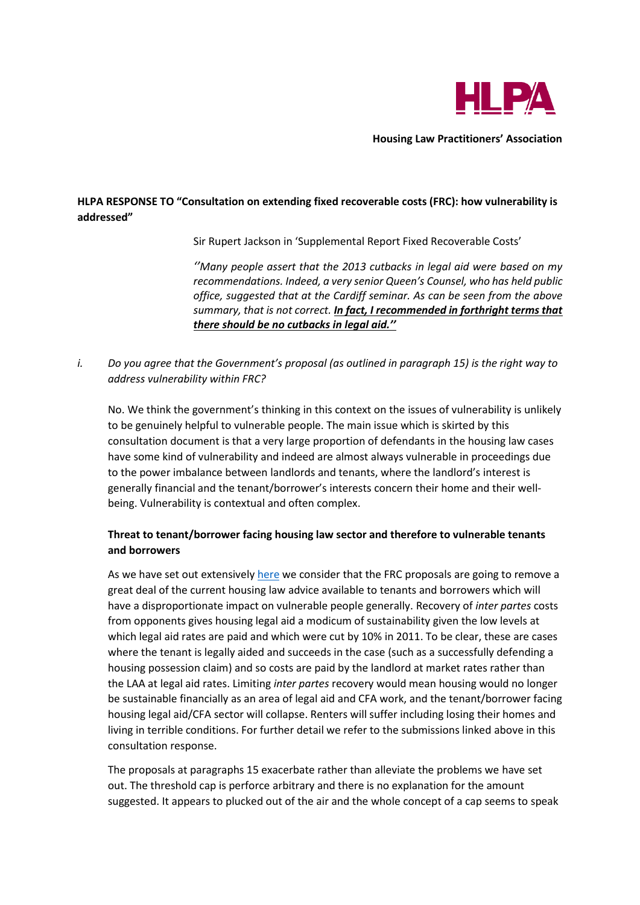

**Housing Law Practitioners' Association**

# **HLPA RESPONSE TO "Consultation on extending fixed recoverable costs (FRC): how vulnerability is addressed"**

Sir Rupert Jackson in 'Supplemental Report Fixed Recoverable Costs'

*''Many people assert that the 2013 cutbacks in legal aid were based on my recommendations. Indeed, a very senior Queen's Counsel, who has held public office, suggested that at the Cardiff seminar. As can be seen from the above summary, that is not correct. In fact, I recommended in forthright terms that there should be no cutbacks in legal aid.''*

*i. Do you agree that the Government's proposal (as outlined in paragraph 15) is the right way to address vulnerability within FRC?*

No. We think the government's thinking in this context on the issues of vulnerability is unlikely to be genuinely helpful to vulnerable people. The main issue which is skirted by this consultation document is that a very large proportion of defendants in the housing law cases have some kind of vulnerability and indeed are almost always vulnerable in proceedings due to the power imbalance between landlords and tenants, where the landlord's interest is generally financial and the tenant/borrower's interests concern their home and their wellbeing. Vulnerability is contextual and often complex.

# **Threat to tenant/borrower facing housing law sector and therefore to vulnerable tenants and borrowers**

As we have set out extensivel[y here](https://www.hlpa.org.uk/cms/hlpa-lapg-shelter-lcn-and-generation-rents-submissions-on-fixed-recoverable-costs/) we consider that the FRC proposals are going to remove a great deal of the current housing law advice available to tenants and borrowers which will have a disproportionate impact on vulnerable people generally. Recovery of *inter partes* costs from opponents gives housing legal aid a modicum of sustainability given the low levels at which legal aid rates are paid and which were cut by 10% in 2011. To be clear, these are cases where the tenant is legally aided and succeeds in the case (such as a successfully defending a housing possession claim) and so costs are paid by the landlord at market rates rather than the LAA at legal aid rates. Limiting *inter partes* recovery would mean housing would no longer be sustainable financially as an area of legal aid and CFA work, and the tenant/borrower facing housing legal aid/CFA sector will collapse. Renters will suffer including losing their homes and living in terrible conditions. For further detail we refer to the submissions linked above in this consultation response.

The proposals at paragraphs 15 exacerbate rather than alleviate the problems we have set out. The threshold cap is perforce arbitrary and there is no explanation for the amount suggested. It appears to plucked out of the air and the whole concept of a cap seems to speak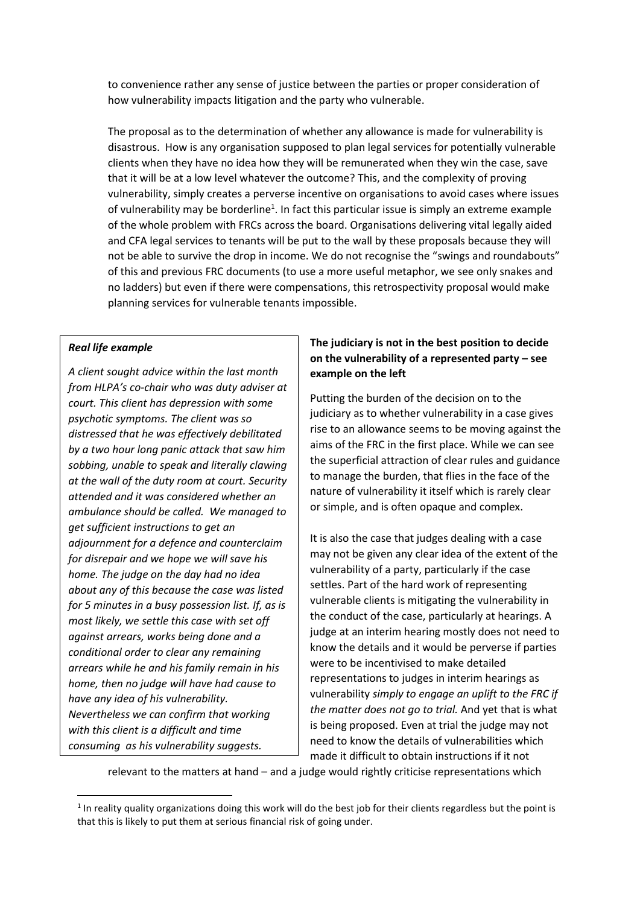to convenience rather any sense of justice between the parties or proper consideration of how vulnerability impacts litigation and the party who vulnerable.

The proposal as to the determination of whether any allowance is made for vulnerability is disastrous. How is any organisation supposed to plan legal services for potentially vulnerable clients when they have no idea how they will be remunerated when they win the case, save that it will be at a low level whatever the outcome? This, and the complexity of proving vulnerability, simply creates a perverse incentive on organisations to avoid cases where issues of vulnerability may be borderline<sup>1</sup>. In fact this particular issue is simply an extreme example of the whole problem with FRCs across the board. Organisations delivering vital legally aided and CFA legal services to tenants will be put to the wall by these proposals because they will not be able to survive the drop in income. We do not recognise the "swings and roundabouts" of this and previous FRC documents (to use a more useful metaphor, we see only snakes and no ladders) but even if there were compensations, this retrospectivity proposal would make planning services for vulnerable tenants impossible.

### *Real life example*

*A client sought advice within the last month from HLPA's co-chair who was duty adviser at court. This client has depression with some psychotic symptoms. The client was so distressed that he was effectively debilitated by a two hour long panic attack that saw him sobbing, unable to speak and literally clawing at the wall of the duty room at court. Security attended and it was considered whether an ambulance should be called. We managed to get sufficient instructions to get an adjournment for a defence and counterclaim for disrepair and we hope we will save his home. The judge on the day had no idea about any of this because the case was listed for 5 minutes in a busy possession list. If, as is most likely, we settle this case with set off against arrears, works being done and a conditional order to clear any remaining arrears while he and his family remain in his home, then no judge will have had cause to have any idea of his vulnerability. Nevertheless we can confirm that working with this client is a difficult and time consuming as his vulnerability suggests.*

# **The judiciary is not in the best position to decide on the vulnerability of a represented party – see example on the left**

Putting the burden of the decision on to the judiciary as to whether vulnerability in a case gives rise to an allowance seems to be moving against the aims of the FRC in the first place. While we can see the superficial attraction of clear rules and guidance to manage the burden, that flies in the face of the nature of vulnerability it itself which is rarely clear or simple, and is often opaque and complex.

It is also the case that judges dealing with a case may not be given any clear idea of the extent of the vulnerability of a party, particularly if the case settles. Part of the hard work of representing vulnerable clients is mitigating the vulnerability in the conduct of the case, particularly at hearings. A judge at an interim hearing mostly does not need to know the details and it would be perverse if parties were to be incentivised to make detailed representations to judges in interim hearings as vulnerability *simply to engage an uplift to the FRC if the matter does not go to trial.* And yet that is what is being proposed. Even at trial the judge may not need to know the details of vulnerabilities which made it difficult to obtain instructions if it not

relevant to the matters at hand – and a judge would rightly criticise representations which

<sup>&</sup>lt;sup>1</sup> In reality quality organizations doing this work will do the best job for their clients regardless but the point is that this is likely to put them at serious financial risk of going under.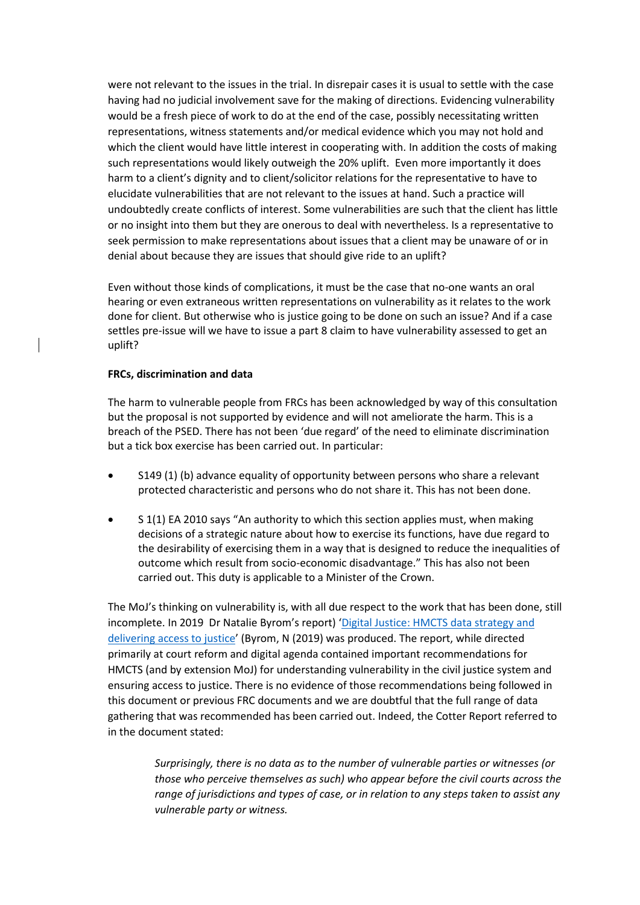were not relevant to the issues in the trial. In disrepair cases it is usual to settle with the case having had no judicial involvement save for the making of directions. Evidencing vulnerability would be a fresh piece of work to do at the end of the case, possibly necessitating written representations, witness statements and/or medical evidence which you may not hold and which the client would have little interest in cooperating with. In addition the costs of making such representations would likely outweigh the 20% uplift. Even more importantly it does harm to a client's dignity and to client/solicitor relations for the representative to have to elucidate vulnerabilities that are not relevant to the issues at hand. Such a practice will undoubtedly create conflicts of interest. Some vulnerabilities are such that the client has little or no insight into them but they are onerous to deal with nevertheless. Is a representative to seek permission to make representations about issues that a client may be unaware of or in denial about because they are issues that should give ride to an uplift?

Even without those kinds of complications, it must be the case that no-one wants an oral hearing or even extraneous written representations on vulnerability as it relates to the work done for client. But otherwise who is justice going to be done on such an issue? And if a case settles pre-issue will we have to issue a part 8 claim to have vulnerability assessed to get an uplift?

#### **FRCs, discrimination and data**

The harm to vulnerable people from FRCs has been acknowledged by way of this consultation but the proposal is not supported by evidence and will not ameliorate the harm. This is a breach of the PSED. There has not been 'due regard' of the need to eliminate discrimination but a tick box exercise has been carried out. In particular:

- S149 (1) (b) advance equality of opportunity between persons who share a relevant protected characteristic and persons who do not share it. This has not been done.
- S 1(1) EA 2010 says "An authority to which this section applies must, when making decisions of a strategic nature about how to exercise its functions, have due regard to the desirability of exercising them in a way that is designed to reduce the inequalities of outcome which result from socio-economic disadvantage." This has also not been carried out. This duty is applicable to a Minister of the Crown.

The MoJ's thinking on vulnerability is, with all due respect to the work that has been done, still incomplete. In 2019 Dr Natalie Byrom's report) '[Digital Justice: HMCTS data strategy and](https://research.thelegaleducationfoundation.org/wp-content/uploads/2019/09/DigitalJusticeFINAL.pdf)  [delivering access to justice](https://research.thelegaleducationfoundation.org/wp-content/uploads/2019/09/DigitalJusticeFINAL.pdf)' (Byrom, N (2019) was produced. The report, while directed primarily at court reform and digital agenda contained important recommendations for HMCTS (and by extension MoJ) for understanding vulnerability in the civil justice system and ensuring access to justice. There is no evidence of those recommendations being followed in this document or previous FRC documents and we are doubtful that the full range of data gathering that was recommended has been carried out. Indeed, the Cotter Report referred to in the document stated:

> *Surprisingly, there is no data as to the number of vulnerable parties or witnesses (or those who perceive themselves as such) who appear before the civil courts across the range of jurisdictions and types of case, or in relation to any steps taken to assist any vulnerable party or witness.*